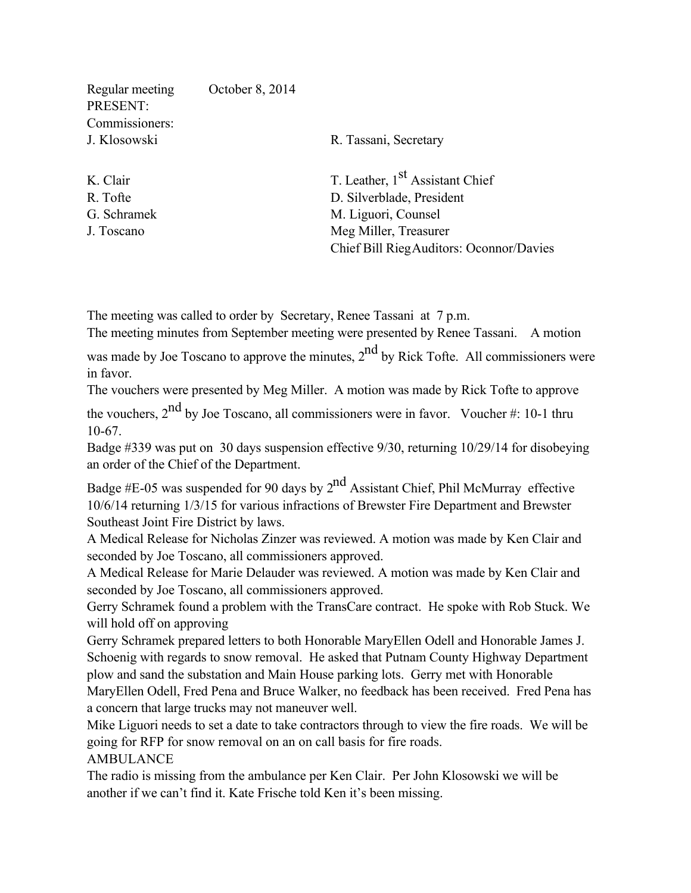| Regular meeting<br>PRESENT: | October 8, 2014           |                                             |
|-----------------------------|---------------------------|---------------------------------------------|
| Commissioners:              |                           |                                             |
| J. Klosowski                |                           | R. Tassani, Secretary                       |
| K. Clair                    |                           | T. Leather, 1 <sup>st</sup> Assistant Chief |
| R. Tofte                    | D. Silverblade, President |                                             |
| G. Schramek                 | M. Liguori, Counsel       |                                             |
| J. Toscano                  |                           | Meg Miller, Treasurer                       |
|                             |                           | Chief Bill Rieg Auditors: Oconnor/Davies    |
|                             |                           |                                             |

The meeting was called to order by Secretary, Renee Tassani at 7 p.m.

The meeting minutes from September meeting were presented by Renee Tassani. A motion

was made by Joe Toscano to approve the minutes,  $2<sup>nd</sup>$  by Rick Tofte. All commissioners were in favor.

The vouchers were presented by Meg Miller. A motion was made by Rick Tofte to approve

the vouchers,  $2<sup>nd</sup>$  by Joe Toscano, all commissioners were in favor. Voucher #: 10-1 thru 10-67.

Badge #339 was put on 30 days suspension effective 9/30, returning 10/29/14 for disobeying an order of the Chief of the Department.

Badge #E-05 was suspended for 90 days by  $2<sup>nd</sup>$  Assistant Chief, Phil McMurray effective 10/6/14 returning 1/3/15 for various infractions of Brewster Fire Department and Brewster Southeast Joint Fire District by laws.

A Medical Release for Nicholas Zinzer was reviewed. A motion was made by Ken Clair and seconded by Joe Toscano, all commissioners approved.

A Medical Release for Marie Delauder was reviewed. A motion was made by Ken Clair and seconded by Joe Toscano, all commissioners approved.

Gerry Schramek found a problem with the TransCare contract. He spoke with Rob Stuck. We will hold off on approving

Gerry Schramek prepared letters to both Honorable MaryEllen Odell and Honorable James J. Schoenig with regards to snow removal. He asked that Putnam County Highway Department plow and sand the substation and Main House parking lots. Gerry met with Honorable

MaryEllen Odell, Fred Pena and Bruce Walker, no feedback has been received. Fred Pena has a concern that large trucks may not maneuver well.

Mike Liguori needs to set a date to take contractors through to view the fire roads. We will be going for RFP for snow removal on an on call basis for fire roads.

AMBULANCE

The radio is missing from the ambulance per Ken Clair. Per John Klosowski we will be another if we can't find it. Kate Frische told Ken it's been missing.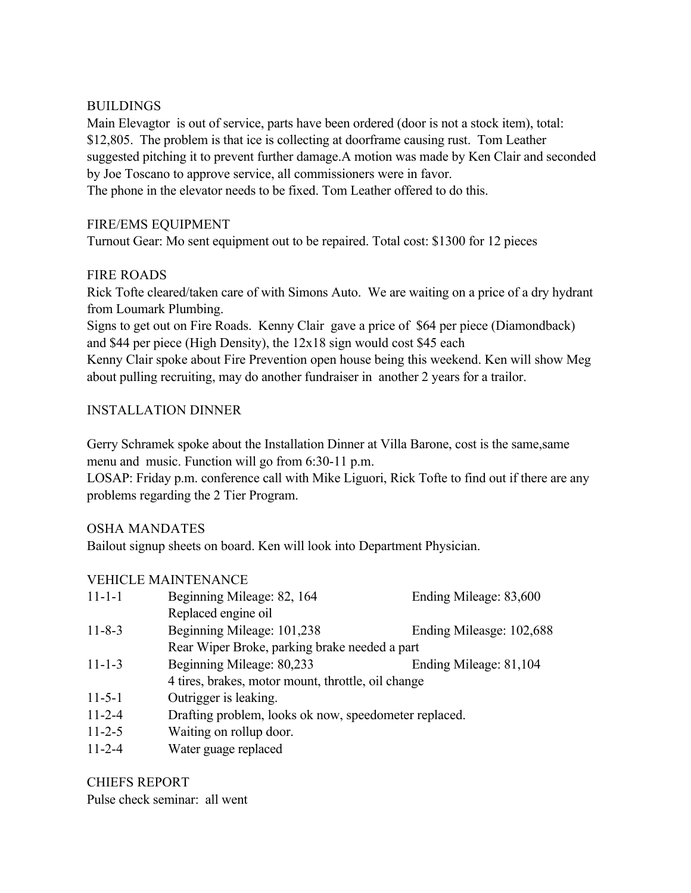#### BUILDINGS

Main Elevagtor is out of service, parts have been ordered (door is not a stock item), total: \$12,805. The problem is that ice is collecting at doorframe causing rust. Tom Leather suggested pitching it to prevent further damage.A motion was made by Ken Clair and seconded by Joe Toscano to approve service, all commissioners were in favor. The phone in the elevator needs to be fixed. Tom Leather offered to do this.

## FIRE/EMS EQUIPMENT

Turnout Gear: Mo sent equipment out to be repaired. Total cost: \$1300 for 12 pieces

## FIRE ROADS

Rick Tofte cleared/taken care of with Simons Auto. We are waiting on a price of a dry hydrant from Loumark Plumbing.

Signs to get out on Fire Roads. Kenny Clair gave a price of \$64 per piece (Diamondback) and \$44 per piece (High Density), the 12x18 sign would cost \$45 each

Kenny Clair spoke about Fire Prevention open house being this weekend. Ken will show Meg about pulling recruiting, may do another fundraiser in another 2 years for a trailor.

## INSTALLATION DINNER

Gerry Schramek spoke about the Installation Dinner at Villa Barone, cost is the same,same menu and music. Function will go from 6:30-11 p.m.

LOSAP: Friday p.m. conference call with Mike Liguori, Rick Tofte to find out if there are any problems regarding the 2 Tier Program.

#### OSHA MANDATES

Bailout signup sheets on board. Ken will look into Department Physician.

#### VEHICLE MAINTENANCE

| $11 - 1 - 1$ | Beginning Mileage: 82, 164                            | Ending Mileage: 83,600   |  |
|--------------|-------------------------------------------------------|--------------------------|--|
|              | Replaced engine oil                                   |                          |  |
| $11 - 8 - 3$ | Beginning Mileage: 101,238                            | Ending Mileasge: 102,688 |  |
|              | Rear Wiper Broke, parking brake needed a part         |                          |  |
| $11 - 1 - 3$ | Beginning Mileage: 80,233                             | Ending Mileage: 81,104   |  |
|              | 4 tires, brakes, motor mount, throttle, oil change    |                          |  |
| $11 - 5 - 1$ | Outrigger is leaking.                                 |                          |  |
| $11 - 2 - 4$ | Drafting problem, looks ok now, speedometer replaced. |                          |  |
| $11 - 2 - 5$ | Waiting on rollup door.                               |                          |  |

11-2-4 Water guage replaced

# CHIEFS REPORT

Pulse check seminar: all went